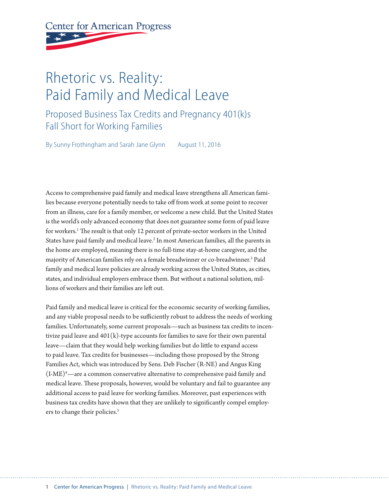**Center for American Progress** 

# Rhetoric vs. Reality: Paid Family and Medical Leave

Proposed Business Tax Credits and Pregnancy 401(k)s Fall Short for Working Families

By Sunny Frothingham and Sarah Jane Glynn August 11, 2016

Access to comprehensive paid family and medical leave strengthens all American families because everyone potentially needs to take off from work at some point to recover from an illness, care for a family member, or welcome a new child. But the United States is the world's only advanced economy that does not guarantee some form of paid leave for workers.1 The result is that only 12 percent of private-sector workers in the United States have paid family and medical leave.<sup>2</sup> In most American families, all the parents in the home are employed, meaning there is no full-time stay-at-home caregiver, and the majority of American families rely on a female breadwinner or co-breadwinner.3 Paid family and medical leave policies are already working across the United States, as cities, states, and individual employers embrace them. But without a national solution, millions of workers and their families are left out.

Paid family and medical leave is critical for the economic security of working families, and any viable proposal needs to be sufficiently robust to address the needs of working families. Unfortunately, some current proposals—such as business tax credits to incentivize paid leave and  $401(k)$ -type accounts for families to save for their own parental leave—claim that they would help working families but do little to expand access to paid leave. Tax credits for businesses—including those proposed by the Strong Families Act, which was introduced by Sens. Deb Fischer (R-NE) and Angus King  $(I-ME)^4$ —are a common conservative alternative to comprehensive paid family and medical leave. These proposals, however, would be voluntary and fail to guarantee any additional access to paid leave for working families. Moreover, past experiences with business tax credits have shown that they are unlikely to significantly compel employers to change their policies.<sup>5</sup>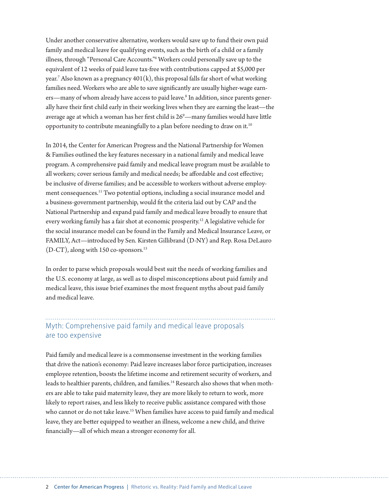Under another conservative alternative, workers would save up to fund their own paid family and medical leave for qualifying events, such as the birth of a child or a family illness, through "Personal Care Accounts."6 Workers could personally save up to the equivalent of 12 weeks of paid leave tax-free with contributions capped at \$5,000 per year. $^7$  Also known as a pregnancy 401(k), this proposal falls far short of what working families need. Workers who are able to save significantly are usually higher-wage earners—many of whom already have access to paid leave.<sup>8</sup> In addition, since parents generally have their first child early in their working lives when they are earning the least—the average age at which a woman has her first child is  $26^{\circ}$ —many families would have little opportunity to contribute meaningfully to a plan before needing to draw on it.<sup>10</sup>

In 2014, the Center for American Progress and the National Partnership for Women & Families outlined the key features necessary in a national family and medical leave program. A comprehensive paid family and medical leave program must be available to all workers; cover serious family and medical needs; be affordable and cost effective; be inclusive of diverse families; and be accessible to workers without adverse employment consequences.<sup>11</sup> Two potential options, including a social insurance model and a business-government partnership, would fit the criteria laid out by CAP and the National Partnership and expand paid family and medical leave broadly to ensure that every working family has a fair shot at economic prosperity.12 A legislative vehicle for the social insurance model can be found in the Family and Medical Insurance Leave, or FAMILY, Act—introduced by Sen. Kirsten Gillibrand (D-NY) and Rep. Rosa DeLauro  $(D-CT)$ , along with 150 co-sponsors.<sup>13</sup>

In order to parse which proposals would best suit the needs of working families and the U.S. economy at large, as well as to dispel misconceptions about paid family and medical leave, this issue brief examines the most frequent myths about paid family and medical leave.

#### Myth: Comprehensive paid family and medical leave proposals are too expensive

Paid family and medical leave is a commonsense investment in the working families that drive the nation's economy: Paid leave increases labor force participation, increases employee retention, boosts the lifetime income and retirement security of workers, and leads to healthier parents, children, and families.<sup>14</sup> Research also shows that when mothers are able to take paid maternity leave, they are more likely to return to work, more likely to report raises, and less likely to receive public assistance compared with those who cannot or do not take leave.<sup>15</sup> When families have access to paid family and medical leave, they are better equipped to weather an illness, welcome a new child, and thrive financially—all of which mean a stronger economy for all.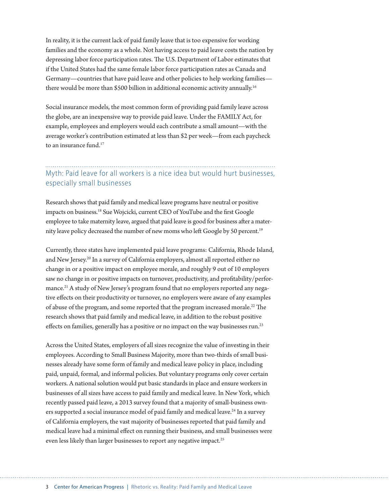In reality, it is the current lack of paid family leave that is too expensive for working families and the economy as a whole. Not having access to paid leave costs the nation by depressing labor force participation rates. The U.S. Department of Labor estimates that if the United States had the same female labor force participation rates as Canada and Germany—countries that have paid leave and other policies to help working families there would be more than \$500 billion in additional economic activity annually.<sup>16</sup>

Social insurance models, the most common form of providing paid family leave across the globe, are an inexpensive way to provide paid leave. Under the FAMILY Act, for example, employees and employers would each contribute a small amount—with the average worker's contribution estimated at less than \$2 per week—from each paycheck to an insurance fund.<sup>17</sup>

### Myth: Paid leave for all workers is a nice idea but would hurt businesses, especially small businesses

Research shows that paid family and medical leave programs have neutral or positive impacts on business.18 Sue Wojcicki, current CEO of YouTube and the first Google employee to take maternity leave, argued that paid leave is good for business after a maternity leave policy decreased the number of new moms who left Google by 50 percent.<sup>19</sup>

Currently, three states have implemented paid leave programs: California, Rhode Island, and New Jersey.20 In a survey of California employers, almost all reported either no change in or a positive impact on employee morale, and roughly 9 out of 10 employers saw no change in or positive impacts on turnover, productivity, and profitability/performance.<sup>21</sup> A study of New Jersey's program found that no employers reported any negative effects on their productivity or turnover, no employers were aware of any examples of abuse of the program, and some reported that the program increased morale.<sup>22</sup> The research shows that paid family and medical leave, in addition to the robust positive effects on families, generally has a positive or no impact on the way businesses run.<sup>23</sup>

Across the United States, employers of all sizes recognize the value of investing in their employees. According to Small Business Majority, more than two-thirds of small businesses already have some form of family and medical leave policy in place, including paid, unpaid, formal, and informal policies. But voluntary programs only cover certain workers. A national solution would put basic standards in place and ensure workers in businesses of all sizes have access to paid family and medical leave. In New York, which recently passed paid leave, a 2013 survey found that a majority of small-business owners supported a social insurance model of paid family and medical leave.<sup>24</sup> In a survey of California employers, the vast majority of businesses reported that paid family and medical leave had a minimal effect on running their business, and small businesses were even less likely than larger businesses to report any negative impact.<sup>25</sup>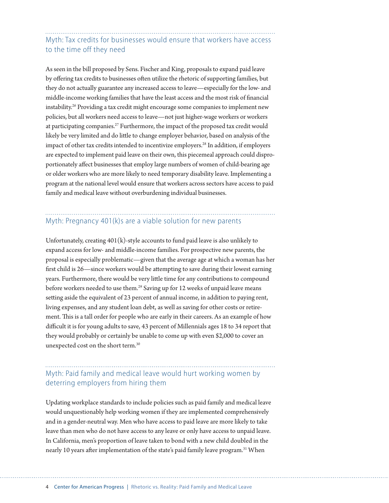## Myth: Tax credits for businesses would ensure that workers have access to the time off they need

As seen in the bill proposed by Sens. Fischer and King, proposals to expand paid leave by offering tax credits to businesses often utilize the rhetoric of supporting families, but they do not actually guarantee any increased access to leave—especially for the low- and middle-income working families that have the least access and the most risk of financial instability.<sup>26</sup> Providing a tax credit might encourage some companies to implement new policies, but all workers need access to leave—not just higher-wage workers or workers at participating companies.27 Furthermore, the impact of the proposed tax credit would likely be very limited and do little to change employer behavior, based on analysis of the impact of other tax credits intended to incentivize employers.<sup>28</sup> In addition, if employers are expected to implement paid leave on their own, this piecemeal approach could disproportionately affect businesses that employ large numbers of women of child-bearing age or older workers who are more likely to need temporary disability leave. Implementing a program at the national level would ensure that workers across sectors have access to paid family and medical leave without overburdening individual businesses.

# Myth: Pregnancy 401(k)s are a viable solution for new parents

Unfortunately, creating 401(k)-style accounts to fund paid leave is also unlikely to expand access for low- and middle-income families. For prospective new parents, the proposal is especially problematic—given that the average age at which a woman has her first child is 26—since workers would be attempting to save during their lowest earning years. Furthermore, there would be very little time for any contributions to compound before workers needed to use them.<sup>29</sup> Saving up for 12 weeks of unpaid leave means setting aside the equivalent of 23 percent of annual income, in addition to paying rent, living expenses, and any student loan debt, as well as saving for other costs or retirement. This is a tall order for people who are early in their careers. As an example of how difficult it is for young adults to save, 43 percent of Millennials ages 18 to 34 report that they would probably or certainly be unable to come up with even \$2,000 to cover an unexpected cost on the short term.30

#### Myth: Paid family and medical leave would hurt working women by deterring employers from hiring them

Updating workplace standards to include policies such as paid family and medical leave would unquestionably help working women if they are implemented comprehensively and in a gender-neutral way. Men who have access to paid leave are more likely to take leave than men who do not have access to any leave or only have access to unpaid leave. In California, men's proportion of leave taken to bond with a new child doubled in the nearly 10 years after implementation of the state's paid family leave program.<sup>31</sup> When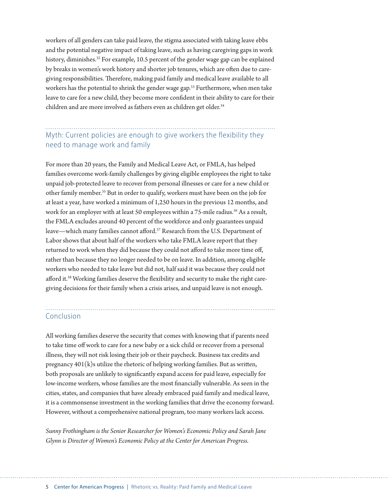workers of all genders can take paid leave, the stigma associated with taking leave ebbs and the potential negative impact of taking leave, such as having caregiving gaps in work history, diminishes.<sup>32</sup> For example, 10.5 percent of the gender wage gap can be explained by breaks in women's work history and shorter job tenures, which are often due to caregiving responsibilities. Therefore, making paid family and medical leave available to all workers has the potential to shrink the gender wage gap.<sup>33</sup> Furthermore, when men take leave to care for a new child, they become more confident in their ability to care for their children and are more involved as fathers even as children get older.<sup>34</sup>

# Myth: Current policies are enough to give workers the flexibility they need to manage work and family

For more than 20 years, the Family and Medical Leave Act, or FMLA, has helped families overcome work-family challenges by giving eligible employees the right to take unpaid job-protected leave to recover from personal illnesses or care for a new child or other family member.35 But in order to qualify, workers must have been on the job for at least a year, have worked a minimum of 1,250 hours in the previous 12 months, and work for an employer with at least 50 employees within a 75-mile radius.<sup>36</sup> As a result, the FMLA excludes around 40 percent of the workforce and only guarantees unpaid leave—which many families cannot afford.37 Research from the U.S. Department of Labor shows that about half of the workers who take FMLA leave report that they returned to work when they did because they could not afford to take more time off, rather than because they no longer needed to be on leave. In addition, among eligible workers who needed to take leave but did not, half said it was because they could not afford it.38 Working families deserve the flexibility and security to make the right caregiving decisions for their family when a crisis arises, and unpaid leave is not enough.

#### Conclusion

All working families deserve the security that comes with knowing that if parents need to take time off work to care for a new baby or a sick child or recover from a personal illness, they will not risk losing their job or their paycheck. Business tax credits and pregnancy  $401(k)$ s utilize the rhetoric of helping working families. But as written, both proposals are unlikely to significantly expand access for paid leave, especially for low-income workers, whose families are the most financially vulnerable. As seen in the cities, states, and companies that have already embraced paid family and medical leave, it is a commonsense investment in the working families that drive the economy forward. However, without a comprehensive national program, too many workers lack access.

*Sunny Frothingham is the Senior Researcher for Women's Economic Policy and Sarah Jane Glynn is Director of Women's Economic Policy at the Center for American Progress.*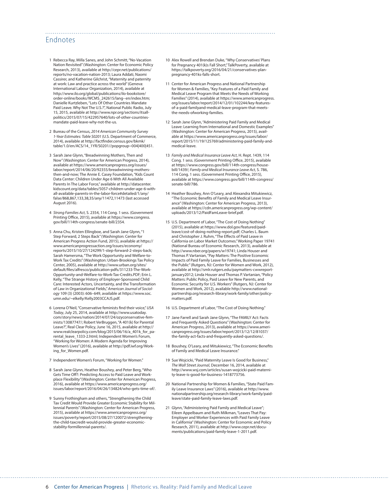#### Endnotes

- 1 Rebecca Ray, Milla Sanes, and John Schmitt, "No-Vacation Nation Revisited" (Washington: Center for Economic Policy Research, 2013), available at [http://cepr.net/publications/](http://cepr.net/publications/reports/no-vacation-nation-2013) [reports/no-vacation-nation-2013](http://cepr.net/publications/reports/no-vacation-nation-2013); Laura Addati, Naomi Cassirer, and Katherine Gilchrist, "Maternity and paternity at work: Law and practice across the world" (Geneva: International Labour Organization, 2014), available at [http://www.ilo.org/global/publications/ilo-bookstore/](http://www.ilo.org/global/publications/ilo-bookstore/order-online/books/WCMS_242615/lang--en/index.htm) [order-online/books/WCMS\\_242615/lang--en/index.htm;](http://www.ilo.org/global/publications/ilo-bookstore/order-online/books/WCMS_242615/lang--en/index.htm) Danielle Kurtzleben, "Lots Of Other Countries Mandate Paid Leave. Why Not The U.S.?", National Public Radio, July 15, 2015, available at [http://www.npr.org/sections/itsall](http://www.npr.org/sections/itsallpolitics/2015/07/15/422957640/lots-of-other-countries-mandate-paid-leave-why-not-the-us)[politics/2015/07/15/422957640/lots-of-other-countries](http://www.npr.org/sections/itsallpolitics/2015/07/15/422957640/lots-of-other-countries-mandate-paid-leave-why-not-the-us)[mandate-paid-leave-why-not-the-us.](http://www.npr.org/sections/itsallpolitics/2015/07/15/422957640/lots-of-other-countries-mandate-paid-leave-why-not-the-us)
- 2 Bureau of the Census, *2014 American Community Survey 1-Year Estimates: Table S0201* (U.S. Department of Commerce, 2014), available at [http://factfinder.census.gov/bkmk/](http://factfinder.census.gov/bkmk/table/1.0/en/ACS/14_1YR/S0201//popgroup~004|400|451) [table/1.0/en/ACS/14\\_1YR/S0201//popgroup~004|400|451](http://factfinder.census.gov/bkmk/table/1.0/en/ACS/14_1YR/S0201//popgroup~004|400|451).
- 3 Sarah Jane Glynn, "Breadwinning Mothers, Then and Now" (Washington: Center for American Progress, 2014), available at [https://www.americanprogress.org/issues/](https://www.americanprogress.org/issues/labor/report/2014/06/20/92355/breadwinning-mothers-then-and-now) [labor/report/2014/06/20/92355/breadwinning-mothers](https://www.americanprogress.org/issues/labor/report/2014/06/20/92355/breadwinning-mothers-then-and-now)[then-and-now](https://www.americanprogress.org/issues/labor/report/2014/06/20/92355/breadwinning-mothers-then-and-now); The Annie E. Casey Foundation, "Kids Count Data Center: Children Under Age 6 With All Available Parents In The Labor Force," available at [http://datacenter.](http://datacenter.kidscount.org/data/tables/5057-children-under-age-6-with-all-available-parents-in-the-labor-force#detailed/1/any/false/868,867,133,38,35/any/11472,11473) [kidscount.org/data/tables/5057-children-under-age-6-with](http://datacenter.kidscount.org/data/tables/5057-children-under-age-6-with-all-available-parents-in-the-labor-force#detailed/1/any/false/868,867,133,38,35/any/11472,11473)[all-available-parents-in-the-labor-force#detailed/1/any/](http://datacenter.kidscount.org/data/tables/5057-children-under-age-6-with-all-available-parents-in-the-labor-force#detailed/1/any/false/868,867,133,38,35/any/11472,11473) [false/868,867,133,38,35/any/11472,11473](http://datacenter.kidscount.org/data/tables/5057-children-under-age-6-with-all-available-parents-in-the-labor-force#detailed/1/any/false/868,867,133,38,35/any/11472,11473) (last accessed August 2016).
- 4 *Strong Families Act*, S. 2354, 114 Cong. 1 sess. (Government Printing Office, 2015), available at [https://www.congress.](https://www.congress.gov/bill/114th-congress/senate-bill/2354) [gov/bill/114th-congress/senate-bill/2354](https://www.congress.gov/bill/114th-congress/senate-bill/2354).
- 5 Anna Chu, Kristen Ellingboe, and Sarah Jane Glynn, "1 Step Forward, 2 Steps Back" (Washington: Center for American Progress Action Fund, 2015), available at [https://](https://www.americanprogressaction.org/issues/economy/reports/2015/10/27/124299/1-step-forward-2-steps-back) [www.americanprogressaction.org/issues/economy/](https://www.americanprogressaction.org/issues/economy/reports/2015/10/27/124299/1-step-forward-2-steps-back) [reports/2015/10/27/124299/1-step-forward-2-steps-back](https://www.americanprogressaction.org/issues/economy/reports/2015/10/27/124299/1-step-forward-2-steps-back); Sarah Hamersma, "The Work Opportunity and Welfare-to-Work Tax Credits" (Washington: Urban-Brookings Tax Policy Center, 2005), available at [http://www.urban.org/sites/](http://www.urban.org/sites/default/files/alfresco/publication-pdfs/311233-The-Work-Opportunity-and-Welfare-to-Work-Tax-Credits.PDF) [default/files/alfresco/publication-pdfs/311233-The-Work-](http://www.urban.org/sites/default/files/alfresco/publication-pdfs/311233-The-Work-Opportunity-and-Welfare-to-Work-Tax-Credits.PDF)[Opportunity-and-Welfare-to-Work-Tax-Credits.PDF](http://www.urban.org/sites/default/files/alfresco/publication-pdfs/311233-The-Work-Opportunity-and-Welfare-to-Work-Tax-Credits.PDF); Erin L. Kelly, "The Strange History of Employer-Sponsored Child Care: Interested Actors, Uncertainty, and the Transformation of Law in Organizational Fields," *American Journal of Sociology* 109 (3) (2003): 606–649, available at [https://www.soc.](https://www.soc.umn.edu/~elkelly/Kelly2003CCAJS.pdf) [umn.edu/~elkelly/Kelly2003CCAJS.pdf.](https://www.soc.umn.edu/~elkelly/Kelly2003CCAJS.pdf)
- 6 Lorena O'Neil, "Conservative feminists find their voice," *USA Today*, July 25, 2014, available at [http://www.usatoday.](http://www.usatoday.com/story/news/nation/2014/07/24/ozyconservative-feminists/13087747/) [com/story/news/nation/2014/07/24/ozyconservative-fem](http://www.usatoday.com/story/news/nation/2014/07/24/ozyconservative-feminists/13087747/)[inists/13087747/](http://www.usatoday.com/story/news/nation/2014/07/24/ozyconservative-feminists/13087747/); Robert VerBruggen, "A 401(k) for Parental Leave?", Real Clear Policy, June 16, 2015, available at [http://](http://www.realclearpolicy.com/blog/2015/06/16/a_401k_for_parental_leave_1333-2.html) [www.realclearpolicy.com/blog/2015/06/16/a\\_401k\\_for\\_pa](http://www.realclearpolicy.com/blog/2015/06/16/a_401k_for_parental_leave_1333-2.html)[rental\\_leave\\_1333-2.html](http://www.realclearpolicy.com/blog/2015/06/16/a_401k_for_parental_leave_1333-2.html); Independent Women's Forum, "Working for Women: A Modern Agenda for Improving Women's Lives" (2016), available at [http://pdf.iwf.org/Work](http://pdf.iwf.org/Working_for_Women.pdf)ing for Women.pdf.
- 7 Independent Women's Forum, "Working for Women."
- 8 Sarah Jane Glynn, Heather Boushey, and Peter Berg, "Who Gets Time Off?: Predicting Access to Paid Leave and Workplace Flexibility"(Washington: Center for American Progress, 2016), available at [https://www.americanprogress.org/](https://www.americanprogress.org/issues/labor/report/2016/04/26/134824/who-gets-time-of/) [issues/labor/report/2016/04/26/134824/who-gets-time-of/.](https://www.americanprogress.org/issues/labor/report/2016/04/26/134824/who-gets-time-of/)
- 9 Sunny Frothingham and others, "Strengthening the Child Tax Credit Would Provide Greater Economic Stability for Millennial Parents" (Washington: Center for American Progress, 2015), available at [https://www.americanprogress.org/](https://www.americanprogress.org/issues/poverty/report/2015/08/27/120072/strengthening-the-child-taxcredit-would-provide-greater-economic-stability-formillennial-parents/) [issues/poverty/report/2015/08/27/120072/strengthening](https://www.americanprogress.org/issues/poverty/report/2015/08/27/120072/strengthening-the-child-taxcredit-would-provide-greater-economic-stability-formillennial-parents/)[the-child-taxcredit-would-provide-greater-economic](https://www.americanprogress.org/issues/poverty/report/2015/08/27/120072/strengthening-the-child-taxcredit-would-provide-greater-economic-stability-formillennial-parents/)[stability-formillennial-parents/](https://www.americanprogress.org/issues/poverty/report/2015/08/27/120072/strengthening-the-child-taxcredit-would-provide-greater-economic-stability-formillennial-parents/).

10 Alex Rowell and Brendan Duke, "Why Conservatives' Plans for Pregnancy 401(k)s Fall Short," TalkPoverty, available at [https://talkpoverty.org/2016/04/21/conservatives-plan](https://talkpoverty.org/2016/04/21/conservatives-plan-pregnancy-401ks-falls-short)[pregnancy-401ks-falls-short.](https://talkpoverty.org/2016/04/21/conservatives-plan-pregnancy-401ks-falls-short)

- 11 Center for American Progress and National Partnership for Women & Families, "Key Features of a Paid Family and Medical Leave Program that Meets the Needs of Working Families" (2014), available at [https://www.americanprogress.](https://www.americanprogress.org/issues/labor/report/2014/12/01/102244/key-features-of-a-paid-familyand-medical-leave-program-that-meets-the-needs-ofworking-families) [org/issues/labor/report/2014/12/01/102244/key-features](https://www.americanprogress.org/issues/labor/report/2014/12/01/102244/key-features-of-a-paid-familyand-medical-leave-program-that-meets-the-needs-ofworking-families)[of-a-paid-familyand-medical-leave-program-that-meets](https://www.americanprogress.org/issues/labor/report/2014/12/01/102244/key-features-of-a-paid-familyand-medical-leave-program-that-meets-the-needs-ofworking-families)[the-needs-ofworking-families.](https://www.americanprogress.org/issues/labor/report/2014/12/01/102244/key-features-of-a-paid-familyand-medical-leave-program-that-meets-the-needs-ofworking-families)
- 12 Sarah Jane Glynn, "Administering Paid Family and Medical Leave: Learning from International and Domestic Examples" (Washington: Center for American Progress, 2015), available at [https://www.americanprogress.org/issues/labor/](https://www.americanprogress.org/issues/labor/report/2015/11/19/125769/administering-paid-family-and-medical-leave) [report/2015/11/19/125769/administering-paid-family-and](https://www.americanprogress.org/issues/labor/report/2015/11/19/125769/administering-paid-family-and-medical-leave)[medical-leave.](https://www.americanprogress.org/issues/labor/report/2015/11/19/125769/administering-paid-family-and-medical-leave)
- 13 *Family and Medical Insurance Leave Act*, H. Rept. 1439, 114 Cong. 1 sess. (Government Printing Office, 2015), available at [https://www.congress.gov/bill/114th-congress/house](https://www.congress.gov/bill/114th-congress/house-bill/1439/)[bill/1439/](https://www.congress.gov/bill/114th-congress/house-bill/1439/); *Family and Medical Insurance Leave Act*, S. 786, 114 Cong. 1 sess. (Government Printing Office, 2015), available at [https://www.congress.gov/bill/114th-congress/](https://www.congress.gov/bill/114th-congress/senate-bill/786) [senate-bill/786.](https://www.congress.gov/bill/114th-congress/senate-bill/786)
- 14 Heather Boushey, Ann O'Leary, and Alexandra Mitukiewicz, "The Economic Benefits of Family and Medical Leave Insurance" (Washington: Center for American Progress, 2013), available at [https://cdn.americanprogress.org/wp-content/](https://cdn.americanprogress.org/wp-content/uploads/2013/12/PaidFamLeave-brief.pdf) [uploads/2013/12/PaidFamLeave-brief.pdf](https://cdn.americanprogress.org/wp-content/uploads/2013/12/PaidFamLeave-brief.pdf).
- 15 U.S. Department of Labor, "The Cost of Doing Nothing" (2015), available at [https://www.dol.gov/featured/paid](https://www.dol.gov/featured/paidleave/cost-of-doing-nothing-report.pdf)[leave/cost-of-doing-nothing-report.pdf](https://www.dol.gov/featured/paidleave/cost-of-doing-nothing-report.pdf); Charles L. Baum and Christopher J. Ruhm, "The Effects of Paid Leave in California on Labor Market Outcomes." Working Paper 19741 (National Bureau of Economic Research, 2013), available at [http://www.nber.org/papers/w19741;](http://www.nber.org/papers/w19741) Linda Houser and Thomas P. Vartanian, "Pay Matters: The Positive Economic Impacts of Paid Family Leave for Families, Businesses and the Public" (Rutgers, NJ: Center for Women and Work, 2012), available at [http://smlr.rutgers.edu/paymatters-cwwreport](http://smlr.rutgers.edu/paymatters-cwwreport-january2012)[january2012](http://smlr.rutgers.edu/paymatters-cwwreport-january2012); Linda Houser and Thomas P. Vartanian, "Policy Matters: Public Policy, Paid Leave for New Parents, and Economic Security for U.S. Workers" (Rutgers, NJ: Center for Women and Work, 2012), available [http://www.national](http://www.nationalpartnership.org/research-library/work-family/other/policy-matters.pdf)[partnership.org/research-library/work-family/other/policy](http://www.nationalpartnership.org/research-library/work-family/other/policy-matters.pdf)[matters.pdf](http://www.nationalpartnership.org/research-library/work-family/other/policy-matters.pdf).
- 16 U.S. Department of Labor, "The Cost of Doing Nothing."
- 17 Jane Farrell and Sarah Jane Glynn, "The FAMILY Act: Facts and Frequently Asked Questions" (Washington: Center for American Progress, 2013), available at [https://www.ameri](https://www.americanprogress.org/issues/labor/report/2013/12/12/81037/the-family-act-facts-and-frequently-asked-questions/)[canprogress.org/issues/labor/report/2013/12/12/81037/](https://www.americanprogress.org/issues/labor/report/2013/12/12/81037/the-family-act-facts-and-frequently-asked-questions/) [the-family-act-facts-and-frequently-asked-questions/.](https://www.americanprogress.org/issues/labor/report/2013/12/12/81037/the-family-act-facts-and-frequently-asked-questions/)
- 18 Boushey, O'Leary, and Mitukiewicz, "The Economic Benefits of Family and Medical Leave Insurance."
- 19 Sue Wojcicki, "Paid Maternity Leave Is Good for Business," *The Wall Street Journal*, December 16, 2014, available at [http://www.wsj.com/articles/susan-wojcicki-paid-materni](http://www.wsj.com/articles/susan-wojcicki-paid-maternity-leave-is-good-for-business-1418773756)[ty-leave-is-good-for-business-1418773756.](http://www.wsj.com/articles/susan-wojcicki-paid-maternity-leave-is-good-for-business-1418773756)
- 20 National Partnership for Women & Families, "State Paid Family Leave Insurance Laws" (2016), available at [http://www.](http://www.nationalpartnership.org/research-library/work-family/paid-leave/state-paid-family-leave-laws.pdf) [nationalpartnership.org/research-library/work-family/paid](http://www.nationalpartnership.org/research-library/work-family/paid-leave/state-paid-family-leave-laws.pdf)[leave/state-paid-family-leave-laws.pdf](http://www.nationalpartnership.org/research-library/work-family/paid-leave/state-paid-family-leave-laws.pdf).
- 21 Glynn, "Administering Paid Family and Medical Leave"; Eileen Appelbaum and Ruth Milkman, "Leaves That Pay: Employer and Worker Experiences with Paid Family Leave in California" (Washington: Center for Economic and Policy Research, 2011), available at [http://www.cepr.net/docu](http://www.cepr.net/documents/publications/paid-family-leave-1-2011.pdf)[ments/publications/paid-family-leave-1-2011.pdf](http://www.cepr.net/documents/publications/paid-family-leave-1-2011.pdf).